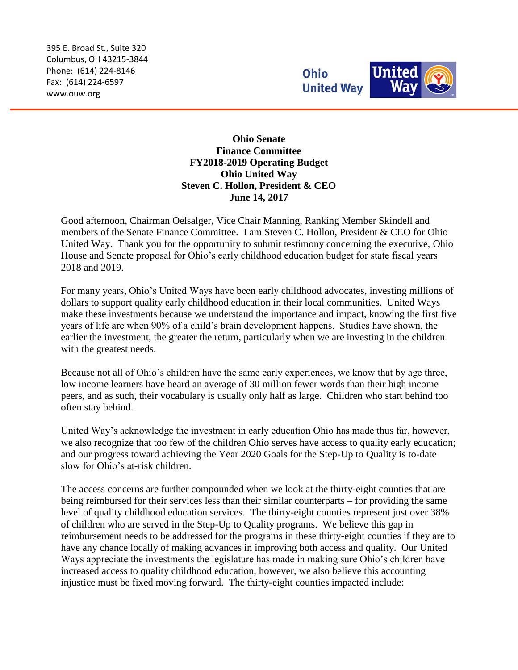395 E. Broad St., Suite 320 Columbus, OH 43215-3844 Phone: (614) 224-8146 Fax: (614) 224-6597 www.ouw.org



**Ohio Senate Finance Committee FY2018-2019 Operating Budget Ohio United Way Steven C. Hollon, President & CEO June 14, 2017**

Good afternoon, Chairman Oelsalger, Vice Chair Manning, Ranking Member Skindell and members of the Senate Finance Committee. I am Steven C. Hollon, President & CEO for Ohio United Way. Thank you for the opportunity to submit testimony concerning the executive, Ohio House and Senate proposal for Ohio's early childhood education budget for state fiscal years 2018 and 2019.

For many years, Ohio's United Ways have been early childhood advocates, investing millions of dollars to support quality early childhood education in their local communities. United Ways make these investments because we understand the importance and impact, knowing the first five years of life are when 90% of a child's brain development happens. Studies have shown, the earlier the investment, the greater the return, particularly when we are investing in the children with the greatest needs.

Because not all of Ohio's children have the same early experiences, we know that by age three, low income learners have heard an average of 30 million fewer words than their high income peers, and as such, their vocabulary is usually only half as large. Children who start behind too often stay behind.

United Way's acknowledge the investment in early education Ohio has made thus far, however, we also recognize that too few of the children Ohio serves have access to quality early education; and our progress toward achieving the Year 2020 Goals for the Step-Up to Quality is to-date slow for Ohio's at-risk children.

The access concerns are further compounded when we look at the thirty-eight counties that are being reimbursed for their services less than their similar counterparts – for providing the same level of quality childhood education services. The thirty-eight counties represent just over 38% of children who are served in the Step-Up to Quality programs. We believe this gap in reimbursement needs to be addressed for the programs in these thirty-eight counties if they are to have any chance locally of making advances in improving both access and quality. Our United Ways appreciate the investments the legislature has made in making sure Ohio's children have increased access to quality childhood education, however, we also believe this accounting injustice must be fixed moving forward. The thirty-eight counties impacted include: